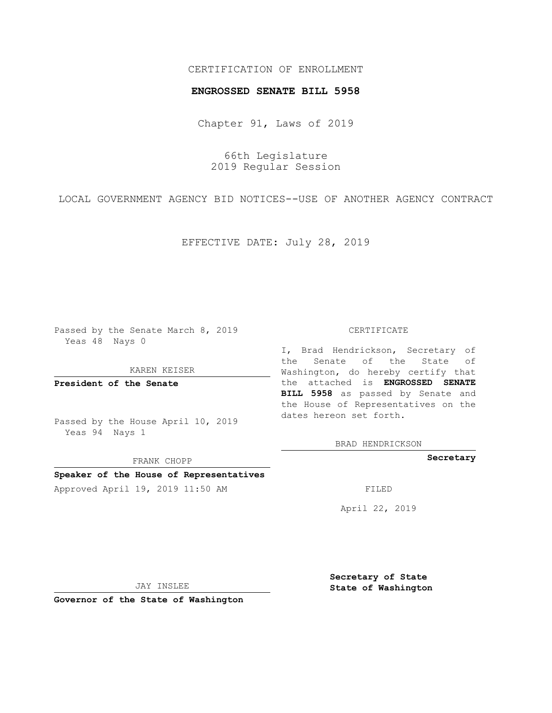## CERTIFICATION OF ENROLLMENT

#### **ENGROSSED SENATE BILL 5958**

Chapter 91, Laws of 2019

66th Legislature 2019 Regular Session

LOCAL GOVERNMENT AGENCY BID NOTICES--USE OF ANOTHER AGENCY CONTRACT

EFFECTIVE DATE: July 28, 2019

Passed by the Senate March 8, 2019 Yeas 48 Nays 0

#### KAREN KEISER

**President of the Senate**

Passed by the House April 10, 2019 Yeas 94 Nays 1

FRANK CHOPP

## **Speaker of the House of Representatives**

Approved April 19, 2019 11:50 AM FILED

#### CERTIFICATE

I, Brad Hendrickson, Secretary of the Senate of the State of Washington, do hereby certify that the attached is **ENGROSSED SENATE BILL 5958** as passed by Senate and the House of Representatives on the dates hereon set forth.

BRAD HENDRICKSON

**Secretary**

April 22, 2019

JAY INSLEE

**Governor of the State of Washington**

**Secretary of State State of Washington**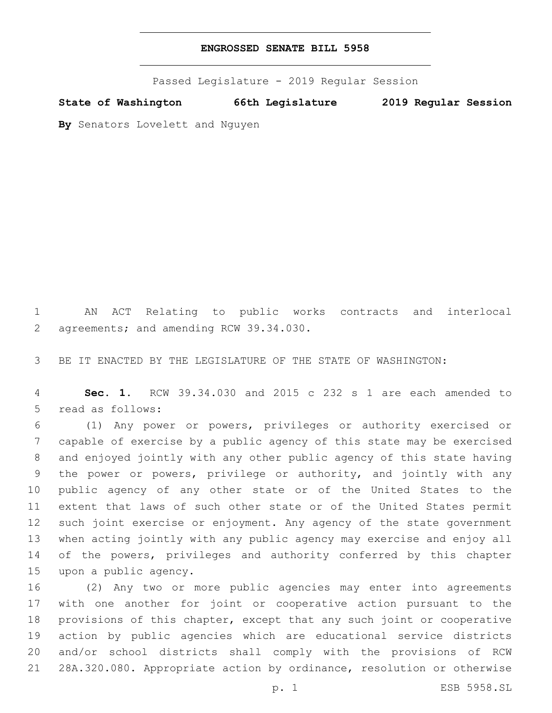# **ENGROSSED SENATE BILL 5958**

Passed Legislature - 2019 Regular Session

**State of Washington 66th Legislature 2019 Regular Session**

**By** Senators Lovelett and Nguyen

 AN ACT Relating to public works contracts and interlocal 2 agreements; and amending RCW 39.34.030.

BE IT ENACTED BY THE LEGISLATURE OF THE STATE OF WASHINGTON:

 **Sec. 1.** RCW 39.34.030 and 2015 c 232 s 1 are each amended to 5 read as follows:

 (1) Any power or powers, privileges or authority exercised or capable of exercise by a public agency of this state may be exercised and enjoyed jointly with any other public agency of this state having the power or powers, privilege or authority, and jointly with any public agency of any other state or of the United States to the extent that laws of such other state or of the United States permit such joint exercise or enjoyment. Any agency of the state government when acting jointly with any public agency may exercise and enjoy all 14 of the powers, privileges and authority conferred by this chapter 15 upon a public agency.

 (2) Any two or more public agencies may enter into agreements with one another for joint or cooperative action pursuant to the provisions of this chapter, except that any such joint or cooperative action by public agencies which are educational service districts and/or school districts shall comply with the provisions of RCW 28A.320.080. Appropriate action by ordinance, resolution or otherwise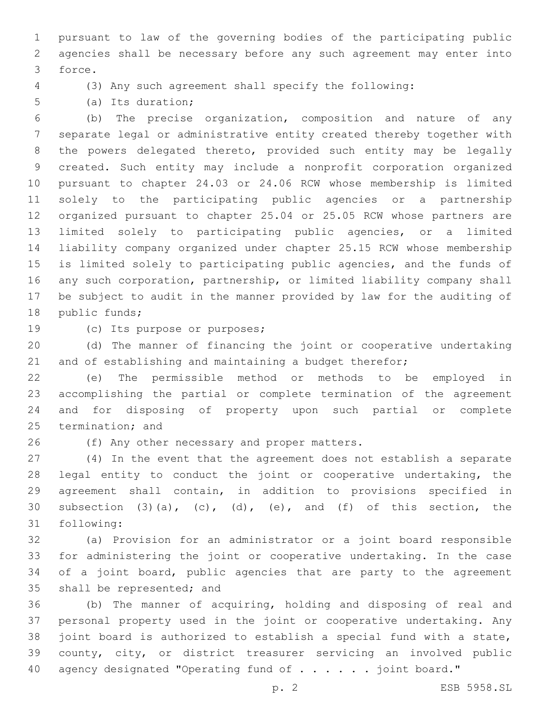pursuant to law of the governing bodies of the participating public agencies shall be necessary before any such agreement may enter into 3 force.

(3) Any such agreement shall specify the following:

5 (a) Its duration;

 (b) The precise organization, composition and nature of any separate legal or administrative entity created thereby together with the powers delegated thereto, provided such entity may be legally created. Such entity may include a nonprofit corporation organized pursuant to chapter 24.03 or 24.06 RCW whose membership is limited solely to the participating public agencies or a partnership organized pursuant to chapter 25.04 or 25.05 RCW whose partners are limited solely to participating public agencies, or a limited liability company organized under chapter 25.15 RCW whose membership is limited solely to participating public agencies, and the funds of any such corporation, partnership, or limited liability company shall be subject to audit in the manner provided by law for the auditing of 18 public funds;

19 (c) Its purpose or purposes;

 (d) The manner of financing the joint or cooperative undertaking 21 and of establishing and maintaining a budget therefor;

 (e) The permissible method or methods to be employed in accomplishing the partial or complete termination of the agreement and for disposing of property upon such partial or complete 25 termination; and

26 (f) Any other necessary and proper matters.

 (4) In the event that the agreement does not establish a separate legal entity to conduct the joint or cooperative undertaking, the agreement shall contain, in addition to provisions specified in 30 subsection  $(3)$   $(a)$ ,  $(c)$ ,  $(d)$ ,  $(e)$ , and  $(f)$  of this section, the 31 following:

 (a) Provision for an administrator or a joint board responsible for administering the joint or cooperative undertaking. In the case of a joint board, public agencies that are party to the agreement 35 shall be represented; and

 (b) The manner of acquiring, holding and disposing of real and personal property used in the joint or cooperative undertaking. Any joint board is authorized to establish a special fund with a state, county, city, or district treasurer servicing an involved public 40 agency designated "Operating fund of . . . . . joint board."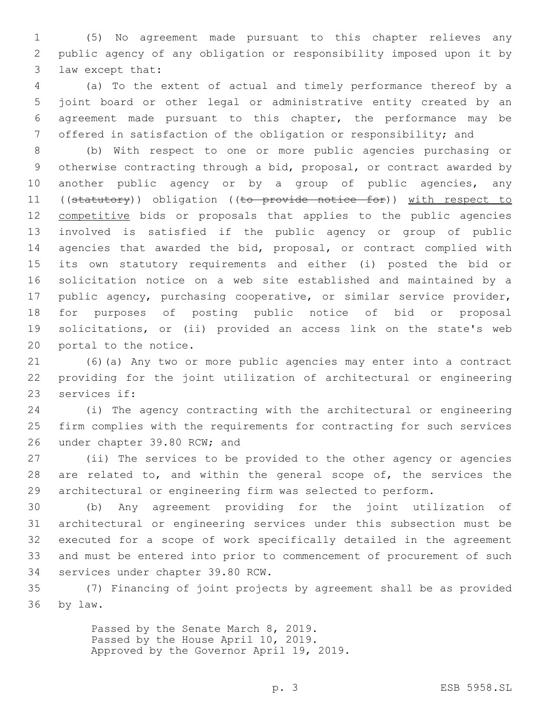(5) No agreement made pursuant to this chapter relieves any public agency of any obligation or responsibility imposed upon it by 3 law except that:

 (a) To the extent of actual and timely performance thereof by a joint board or other legal or administrative entity created by an agreement made pursuant to this chapter, the performance may be offered in satisfaction of the obligation or responsibility; and

 (b) With respect to one or more public agencies purchasing or otherwise contracting through a bid, proposal, or contract awarded by 10 another public agency or by a group of public agencies, any 11 ((statutory)) obligation ((to provide notice for)) with respect to 12 competitive bids or proposals that applies to the public agencies involved is satisfied if the public agency or group of public 14 agencies that awarded the bid, proposal, or contract complied with its own statutory requirements and either (i) posted the bid or solicitation notice on a web site established and maintained by a public agency, purchasing cooperative, or similar service provider, for purposes of posting public notice of bid or proposal solicitations, or (ii) provided an access link on the state's web 20 portal to the notice.

 (6)(a) Any two or more public agencies may enter into a contract providing for the joint utilization of architectural or engineering 23 services if:

 (i) The agency contracting with the architectural or engineering firm complies with the requirements for contracting for such services 26 under chapter 39.80 RCW; and

 (ii) The services to be provided to the other agency or agencies 28 are related to, and within the general scope of, the services the architectural or engineering firm was selected to perform.

 (b) Any agreement providing for the joint utilization of architectural or engineering services under this subsection must be executed for a scope of work specifically detailed in the agreement and must be entered into prior to commencement of procurement of such 34 services under chapter 39.80 RCW.

 (7) Financing of joint projects by agreement shall be as provided 36 by law.

> Passed by the Senate March 8, 2019. Passed by the House April 10, 2019. Approved by the Governor April 19, 2019.